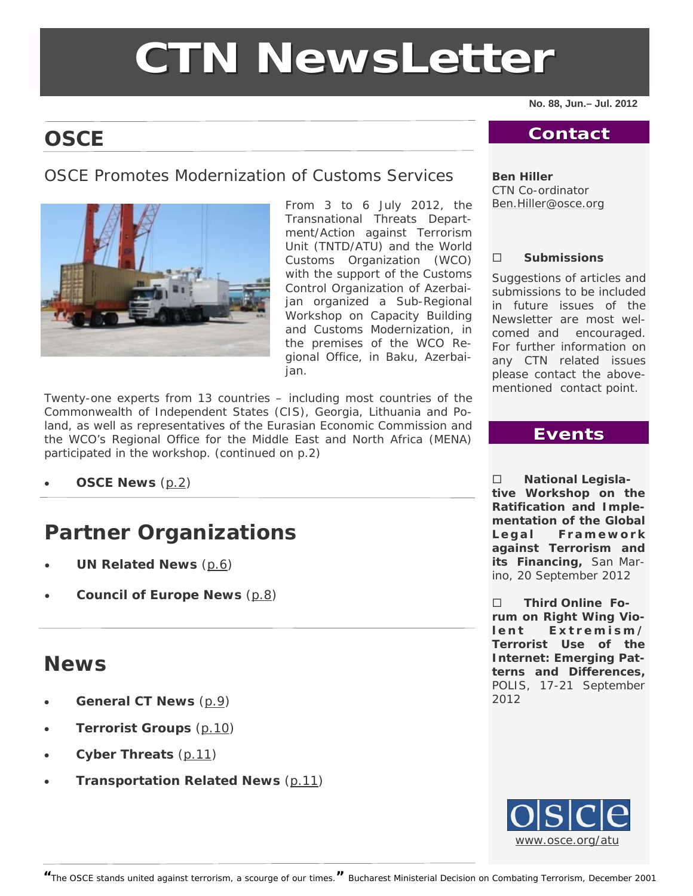# **CTN NewsLette NewsLetter**

**No. 88, Jun.– Jul. 2012** 

# **OSCE**

# OSCE Promotes Modernization of Customs Services



From 3 to 6 July 2012, the Transnational Threats Department/Action against Terrorism Unit (TNTD/ATU) and the World Customs Organization (WCO) with the support of the Customs Control Organization of Azerbaijan organized a Sub-Regional Workshop on Capacity Building and Customs Modernization, in the premises of the WCO Regional Office, in Baku, Azerbaijan.

Twenty-one experts from 13 countries – including most countries of the Commonwealth of Independent States (CIS), Georgia, Lithuania and Poland, as well as representatives of the Eurasian Economic Commission and the WCO's Regional Office for the Middle East and North Africa (MENA) participated in the workshop. (continued on p.2)

**OSCE News** ([p.2\)](#page-1-0)

# **Partner Organizations**

- **UN Related News** ([p.6](#page-5-0))
- **Council of Europe News** ([p.8\)](#page-7-0)

# **News**

- **General CT News** ([p.9](#page-8-0))
- **Terrorist Groups** ([p.10\)](#page-9-0)
- **Cyber Threats** ([p.11](#page-10-0))
- **Transportation Related News** ([p.11\)](#page-10-0)

### **Contact Contact**

#### **Ben Hiller**

CTN Co-ordinator [Ben.Hiller@osce.org](mailto:Ben.Hiller@osce.org)

#### **Submissions**

Suggestions of articles and submissions to be included in future issues of the Newsletter are most welcomed and encouraged. For further information on any CTN related issues please contact the abovementioned contact point.

# **Events**

 **National Legislative Workshop on the Ratification and Implementation of the Global**  Legal Framework **against Terrorism and its Financing,** San Marino, 20 September 2012

 **Third Online Forum on Right Wing Violent Extremism/ Terrorist Use of the Internet: Emerging Patterns and Differences,**  POLIS, 17-21 September 2012



**<sup>&</sup>quot;**The OSCE stands united against terrorism, a scourge of our times.**"** *Bucharest Ministerial Decision on Combating Terrorism, December 2001*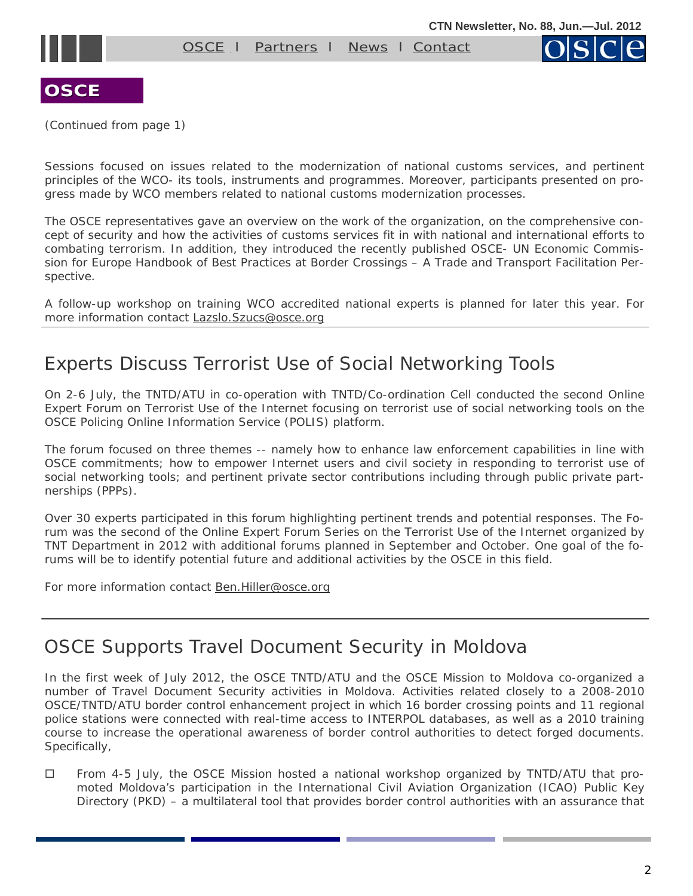OSCE I [Partners](#page-5-0) I [News](#page-8-0) I [Contact](mailto:nemanja.malisevic@osce.org;%20ben.hiller@osce.org)



<span id="page-1-0"></span>

(Continued from page 1)

Sessions focused on issues related to the modernization of national customs services, and pertinent principles of the WCO- its tools, instruments and programmes. Moreover, participants presented on progress made by WCO members related to national customs modernization processes.

The OSCE representatives gave an overview on the work of the organization, on the comprehensive concept of security and how the activities of customs services fit in with national and international efforts to combating terrorism. In addition, they introduced the recently published *OSCE- UN Economic Commission for Europe Handbook of Best Practices at Border Crossings – A Trade and Transport Facilitation Perspective*.

A follow-up workshop on training WCO accredited national experts is planned for later this year. For more information contact [Lazslo.Szucs@osce.org](mailto:Lazslo.Szucs@osce.org) 

# Experts Discuss Terrorist Use of Social Networking Tools

On 2-6 July, the TNTD/ATU in co-operation with TNTD/Co-ordination Cell conducted the second Online Expert Forum on Terrorist Use of the Internet focusing on terrorist use of social networking tools on the OSCE Policing Online Information Service (POLIS) platform.

The forum focused on three themes -- namely how to enhance law enforcement capabilities in line with OSCE commitments; how to empower Internet users and civil society in responding to terrorist use of social networking tools; and pertinent private sector contributions including through public private partnerships (PPPs).

Over 30 experts participated in this forum highlighting pertinent trends and potential responses. The Forum was the second of the Online Expert Forum Series on the Terrorist Use of the Internet organized by TNT Department in 2012 with additional forums planned in September and October. One goal of the forums will be to identify potential future and additional activities by the OSCE in this field.

For more information contact [Ben.Hiller@osce.org](mailto:Ben.Hiller@osce.org) 

# OSCE Supports Travel Document Security in Moldova

In the first week of July 2012, the OSCE TNTD/ATU and the OSCE Mission to Moldova co-organized a number of Travel Document Security activities in Moldova. Activities related closely to a 2008-2010 OSCE/TNTD/ATU border control enhancement project in which 16 border crossing points and 11 regional police stations were connected with real-time access to INTERPOL databases, as well as a 2010 training course to increase the operational awareness of border control authorities to detect forged documents. Specifically,

□ From 4-5 July, the OSCE Mission hosted a national workshop organized by TNTD/ATU that promoted Moldova's participation in the International Civil Aviation Organization (ICAO) Public Key Directory (PKD) – a multilateral tool that provides border control authorities with an assurance that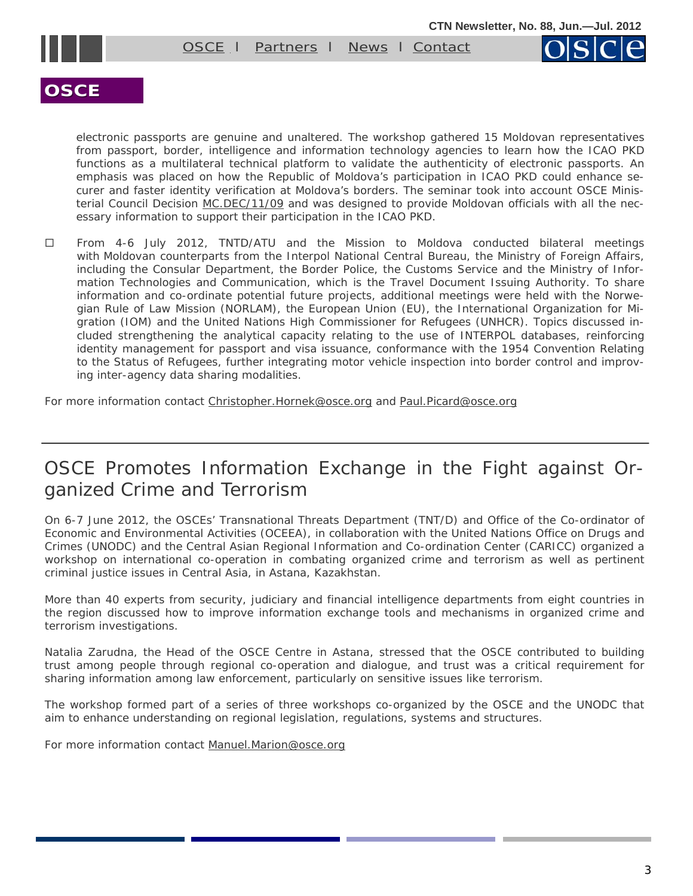

electronic passports are genuine and unaltered. The workshop gathered 15 Moldovan representatives from passport, border, intelligence and information technology agencies to learn how the ICAO PKD functions as a multilateral technical platform to validate the authenticity of electronic passports. An emphasis was placed on how the Republic of Moldova's participation in ICAO PKD could enhance securer and faster identity verification at Moldova's borders. The seminar took into account OSCE Minis-terial Council Decision [MC.DEC/11/09](http://www.osce.org/documents/cio/2009/12/41861_en.pdf) and was designed to provide Moldovan officials with all the necessary information to support their participation in the ICAO PKD.

 From 4-6 July 2012, TNTD/ATU and the Mission to Moldova conducted bilateral meetings with Moldovan counterparts from the Interpol National Central Bureau, the Ministry of Foreign Affairs, including the Consular Department, the Border Police, the Customs Service and the Ministry of Information Technologies and Communication, which is the Travel Document Issuing Authority. To share information and co-ordinate potential future projects, additional meetings were held with the Norwegian Rule of Law Mission (NORLAM), the European Union (EU), the International Organization for Migration (IOM) and the United Nations High Commissioner for Refugees (UNHCR). Topics discussed included strengthening the analytical capacity relating to the use of INTERPOL databases, reinforcing identity management for passport and visa issuance, conformance with the 1954 Convention Relating to the Status of Refugees, further integrating motor vehicle inspection into border control and improving inter-agency data sharing modalities.

For more information contact [Christopher.Hornek@osce.org](mailto:Christopher.Hornek@osce.org) and [Paul.Picard@osce.org](mailto:Paul.Picard@osce.org)

# OSCE Promotes Information Exchange in the Fight against Organized Crime and Terrorism

On 6-7 June 2012, the OSCEs' Transnational Threats Department (TNT/D) and Office of the Co-ordinator of Economic and Environmental Activities (OCEEA), in collaboration with the United Nations Office on Drugs and Crimes (UNODC) and the Central Asian Regional Information and Co-ordination Center (CARICC) organized a workshop on international co-operation in combating organized crime and terrorism as well as pertinent criminal justice issues in Central Asia, in Astana, Kazakhstan.

More than 40 experts from security, judiciary and financial intelligence departments from eight countries in the region discussed how to improve information exchange tools and mechanisms in organized crime and terrorism investigations.

Natalia Zarudna, the Head of the OSCE Centre in Astana, stressed that the OSCE contributed to building trust among people through regional co-operation and dialogue, and trust was a critical requirement for sharing information among law enforcement, particularly on sensitive issues like terrorism.

The workshop formed part of a series of three workshops co-organized by the OSCE and the UNODC that aim to enhance understanding on regional legislation, regulations, systems and structures.

For more information contact [Manuel.Marion@osce.org](mailto:Manuel.Marion@osce.org)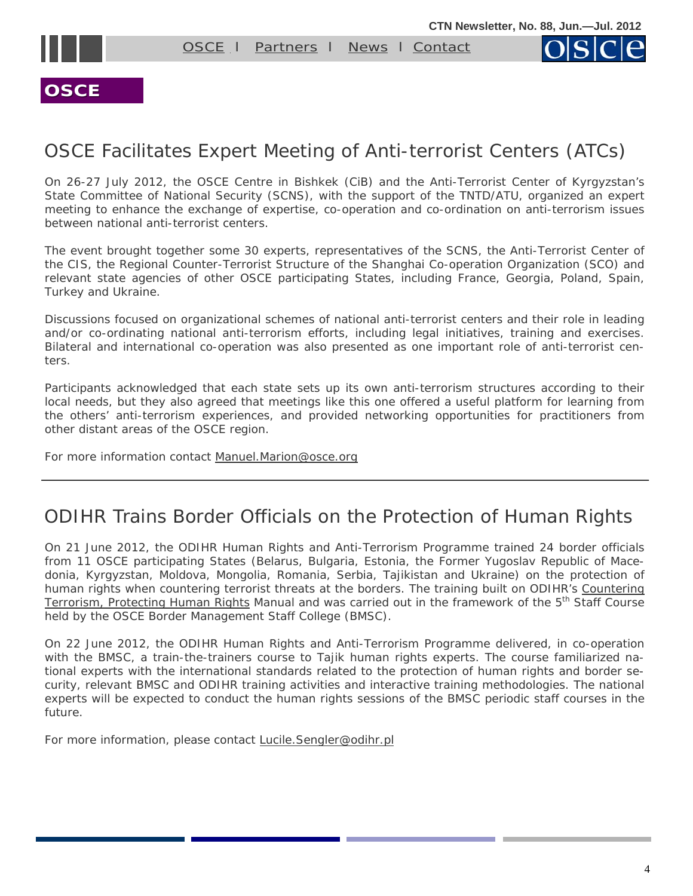

[OSCE](#page-1-0) I [Partners](#page-5-0) I [News](#page-8-0) I [Contact](mailto:nemanja.malisevic@osce.org;%20ben.hiller@osce.org)



#### **OSCE**

# OSCE Facilitates Expert Meeting of Anti-terrorist Centers (ATCs)

On 26-27 July 2012, the OSCE Centre in Bishkek (CiB) and the Anti-Terrorist Center of Kyrgyzstan's State Committee of National Security (SCNS), with the support of the TNTD/ATU, organized an expert meeting to enhance the exchange of expertise, co-operation and co-ordination on anti-terrorism issues between national anti-terrorist centers.

The event brought together some 30 experts, representatives of the SCNS, the Anti-Terrorist Center of the CIS, the Regional Counter-Terrorist Structure of the Shanghai Co-operation Organization (SCO) and relevant state agencies of other OSCE participating States, including France, Georgia, Poland, Spain, Turkey and Ukraine.

Discussions focused on organizational schemes of national anti-terrorist centers and their role in leading and/or co-ordinating national anti-terrorism efforts, including legal initiatives, training and exercises. Bilateral and international co-operation was also presented as one important role of anti-terrorist centers.

Participants acknowledged that each state sets up its own anti-terrorism structures according to their local needs, but they also agreed that meetings like this one offered a useful platform for learning from the others' anti-terrorism experiences, and provided networking opportunities for practitioners from other distant areas of the OSCE region.

For more information contact [Manuel.Marion@osce.org](mailto:Manuel.Marion@osce.org)

# ODIHR Trains Border Officials on the Protection of Human Rights

On 21 June 2012, the ODIHR Human Rights and Anti-Terrorism Programme trained 24 border officials from 11 OSCE participating States (Belarus, Bulgaria, Estonia, the Former Yugoslav Republic of Macedonia, Kyrgyzstan, Moldova, Mongolia, Romania, Serbia, Tajikistan and Ukraine) on the protection of human rights when countering terrorist threats at the borders. The training built on ODIHR's *[Countering](http://www.osce.org/odihr/29103)  [Terrorism, Protecting Human Rights](http://www.osce.org/odihr/29103)* Manual and was carried out in the framework of the 5<sup>th</sup> Staff Course held by the OSCE Border Management Staff College (BMSC).

On 22 June 2012, the ODIHR Human Rights and Anti-Terrorism Programme delivered, in co-operation with the BMSC, a train-the-trainers course to Tajik human rights experts. The course familiarized national experts with the international standards related to the protection of human rights and border security, relevant BMSC and ODIHR training activities and interactive training methodologies. The national experts will be expected to conduct the human rights sessions of the BMSC periodic staff courses in the future.

For more information, please contact [Lucile.Sengler@odihr.pl](mailto:Lucile.Sengler@odihr.pl)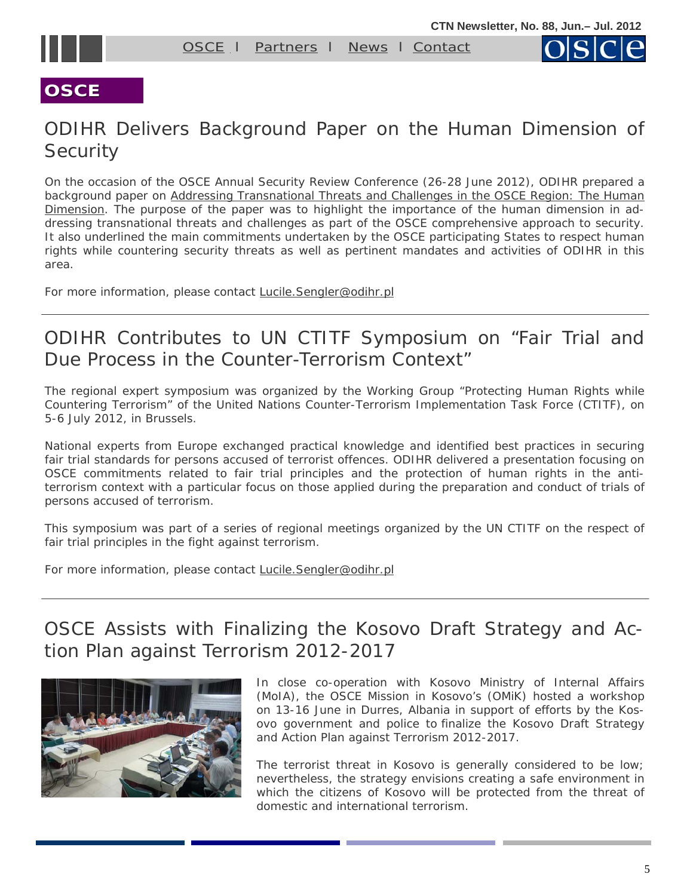



# **OSCE**

# ODIHR Delivers Background Paper on the Human Dimension of **Security**

On the occasion of the OSCE Annual Security Review Conference (26-28 June 2012), ODIHR prepared a background paper on *[Addressing Transnational Threats and Challenges in the OSCE Region: The Human](http://www.osce.org/odihr/91694)  [Dimension.](http://www.osce.org/odihr/91694)* The purpose of the paper was to highlight the importance of the human dimension in addressing transnational threats and challenges as part of the OSCE comprehensive approach to security. It also underlined the main commitments undertaken by the OSCE participating States to respect human rights while countering security threats as well as pertinent mandates and activities of ODIHR in this area.

For more information, please contact [Lucile.Sengler@odihr.pl](mailto:Lucile.Sengler@odihr.pl)

# ODIHR Contributes to UN CTITF Symposium on "Fair Trial and Due Process in the Counter-Terrorism Context"

The regional expert symposium was organized by the Working Group "Protecting Human Rights while Countering Terrorism" of the United Nations Counter-Terrorism Implementation Task Force (CTITF), on 5-6 July 2012, in Brussels.

National experts from Europe exchanged practical knowledge and identified best practices in securing fair trial standards for persons accused of terrorist offences. ODIHR delivered a presentation focusing on OSCE commitments related to fair trial principles and the protection of human rights in the antiterrorism context with a particular focus on those applied during the preparation and conduct of trials of persons accused of terrorism.

This symposium was part of a series of regional meetings organized by the UN CTITF on the respect of fair trial principles in the fight against terrorism.

For more information, please contact [Lucile.Sengler@odihr.pl](mailto:Lucile.Sengler@odihr.pl)

# OSCE Assists with Finalizing the Kosovo Draft Strategy and Action Plan against Terrorism 2012-2017



In close co-operation with Kosovo Ministry of Internal Affairs (MoIA), the OSCE Mission in Kosovo's (OMiK) hosted a workshop on 13-16 June in Durres, Albania in support of efforts by the Kosovo government and police to finalize the Kosovo Draft Strategy and Action Plan against Terrorism 2012-2017.

The terrorist threat in Kosovo is generally considered to be low; nevertheless, the strategy envisions creating a safe environment in which the citizens of Kosovo will be protected from the threat of domestic and international terrorism.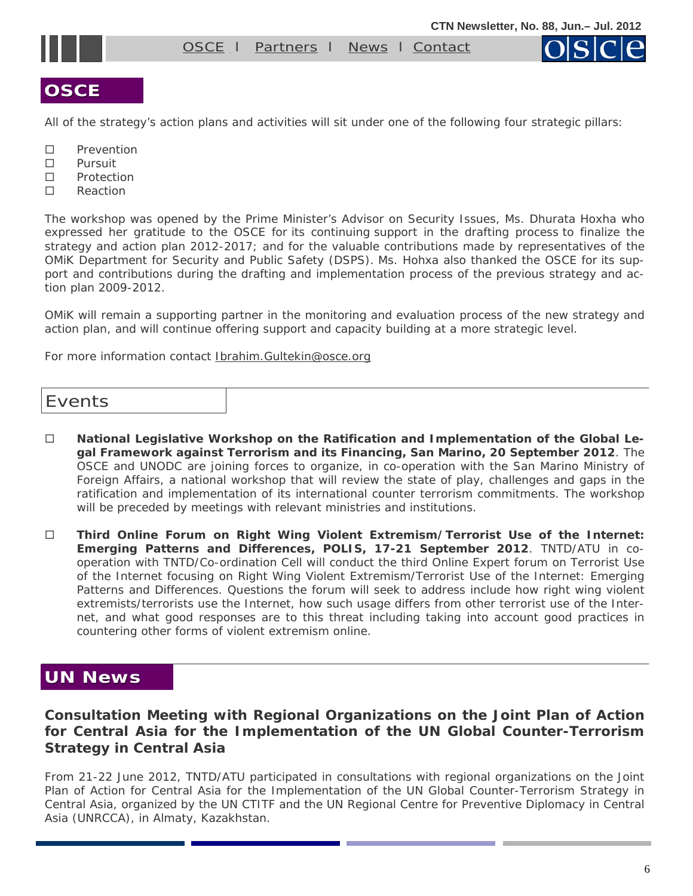<span id="page-5-0"></span>

[OSCE](#page-1-0) I Partners I [News](#page-8-0) I [Contact](mailto:nemanja.malisevic@osce.org;%20ben.hiller@osce.org)

# **OSCE**

All of the strategy's action plans and activities will sit under one of the following four strategic pillars:

- □ Prevention
- □ Pursuit
- □ Protection
- □ Reaction

The workshop was opened by the Prime Minister's Advisor on Security Issues, Ms. Dhurata Hoxha who expressed her gratitude to the OSCE for its continuing support in the drafting process to finalize the strategy and action plan 2012-2017; and for the valuable contributions made by representatives of the OMiK Department for Security and Public Safety (DSPS). Ms. Hohxa also thanked the OSCE for its support and contributions during the drafting and implementation process of the previous strategy and action plan 2009-2012.

OMiK will remain a supporting partner in the monitoring and evaluation process of the new strategy and action plan, and will continue offering support and capacity building at a more strategic level.

For more information contact [Ibrahim.Gultekin@osce.org](mailto:Ibrahim.Gultekin@osce.org)

#### Events

- **National Legislative Workshop on the Ratification and Implementation of the Global Legal Framework against Terrorism and its Financing, San Marino, 20 September 2012**. The OSCE and UNODC are joining forces to organize, in co-operation with the San Marino Ministry of Foreign Affairs, a national workshop that will review the state of play, challenges and gaps in the ratification and implementation of its international counter terrorism commitments. The workshop will be preceded by meetings with relevant ministries and institutions.
- **Third Online Forum on Right Wing Violent Extremism/Terrorist Use of the Internet: Emerging Patterns and Differences, POLIS, 17-21 September 2012**. TNTD/ATU in cooperation with TNTD/Co-ordination Cell will conduct the third Online Expert forum on Terrorist Use of the Internet focusing on Right Wing Violent Extremism/Terrorist Use of the Internet: Emerging Patterns and Differences. Questions the forum will seek to address include how right wing violent extremists/terrorists use the Internet, how such usage differs from other terrorist use of the Internet, and what good responses are to this threat including taking into account good practices in countering other forms of violent extremism online.

# **UN News UN News**

#### **Consultation Meeting with Regional Organizations on the Joint Plan of Action for Central Asia for the Implementation of the UN Global Counter-Terrorism Strategy in Central Asia**

From 21-22 June 2012, TNTD/ATU participated in consultations with regional organizations on the Joint Plan of Action for Central Asia for the Implementation of the UN Global Counter-Terrorism Strategy in Central Asia, organized by the UN CTITF and the UN Regional Centre for Preventive Diplomacy in Central Asia (UNRCCA), in Almaty, Kazakhstan.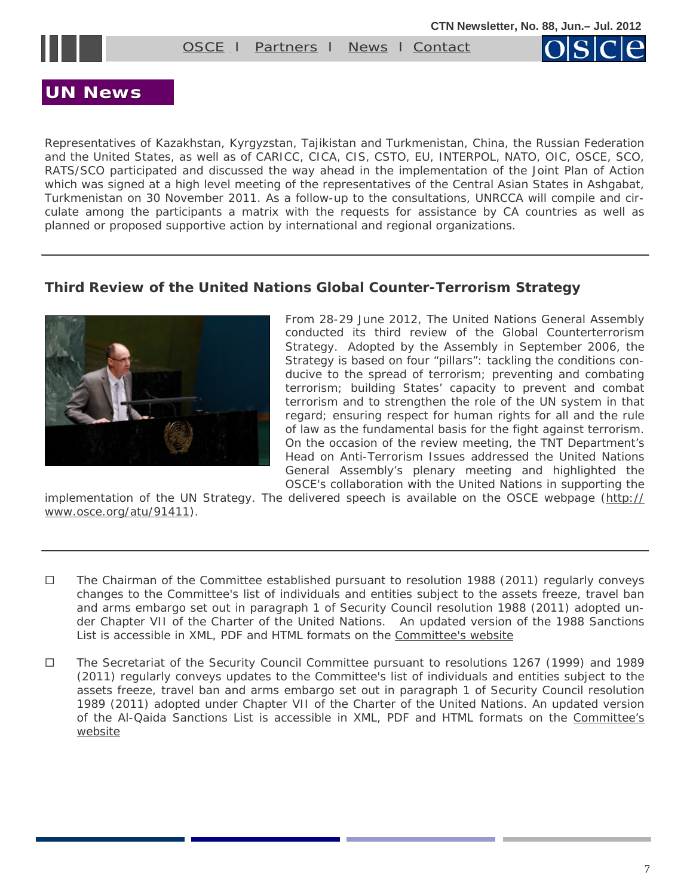

[OSCE](#page-1-0) I [Partners](#page-5-0) I [News](#page-8-0) I [Contact](mailto:nemanja.malisevic@osce.org;%20ben.hiller@osce.org)



## **UN News UN News**

Representatives of Kazakhstan, Kyrgyzstan, Tajikistan and Turkmenistan, China, the Russian Federation and the United States, as well as of CARICC, CICA, CIS, CSTO, EU, INTERPOL, NATO, OIC, OSCE, SCO, RATS/SCO participated and discussed the way ahead in the implementation of the Joint Plan of Action which was signed at a high level meeting of the representatives of the Central Asian States in Ashgabat, Turkmenistan on 30 November 2011. As a follow-up to the consultations, UNRCCA will compile and circulate among the participants a matrix with the requests for assistance by CA countries as well as planned or proposed supportive action by international and regional organizations.

#### **Third Review of the United Nations Global Counter-Terrorism Strategy**



From 28-29 June 2012, The United Nations General Assembly conducted its third review of the Global Counterterrorism Strategy. Adopted by the Assembly in September 2006, the Strategy is based on four "pillars": tackling the conditions conducive to the spread of terrorism; preventing and combating terrorism; building States' capacity to prevent and combat terrorism and to strengthen the role of the UN system in that regard; ensuring respect for human rights for all and the rule of law as the fundamental basis for the fight against terrorism. On the occasion of the review meeting, the TNT Department's Head on Anti-Terrorism Issues addressed the United Nations General Assembly's plenary meeting and highlighted the OSCE's collaboration with the United Nations in supporting the

implementation of the UN Strategy. The delivered speech is available on the OSCE webpage ([http://](http://www.osce.org/atu/91411) [www.osce.org/atu/91411](http://www.osce.org/atu/91411)).

- $\Box$  The Chairman of the Committee established pursuant to resolution 1988 (2011) regularly conveys changes to the Committee's list of individuals and entities subject to the assets freeze, travel ban and arms embargo set out in paragraph 1 of Security Council resolution 1988 (2011) adopted under Chapter VII of the Charter of the United Nations. An updated version of the 1988 Sanctions List is accessible in XML, PDF and HTML formats on the Committee's website
- The Secretariat of the Security Council Committee pursuant to resolutions 1267 (1999) and 1989 (2011) regularly conveys updates to the Committee's list of individuals and entities subject to the assets freeze, travel ban and arms embargo set out in paragraph 1 of Security Council resolution 1989 (2011) adopted under Chapter VII of the Charter of the United Nations. An updated version of the Al-Qaida Sanctions List is accessible in XML, PDF and HTML formats on the [Committee's](http://www.un.org/sc/committees/1267/aq_sanctions_list.shtml.)  [website](http://www.un.org/sc/committees/1267/aq_sanctions_list.shtml.)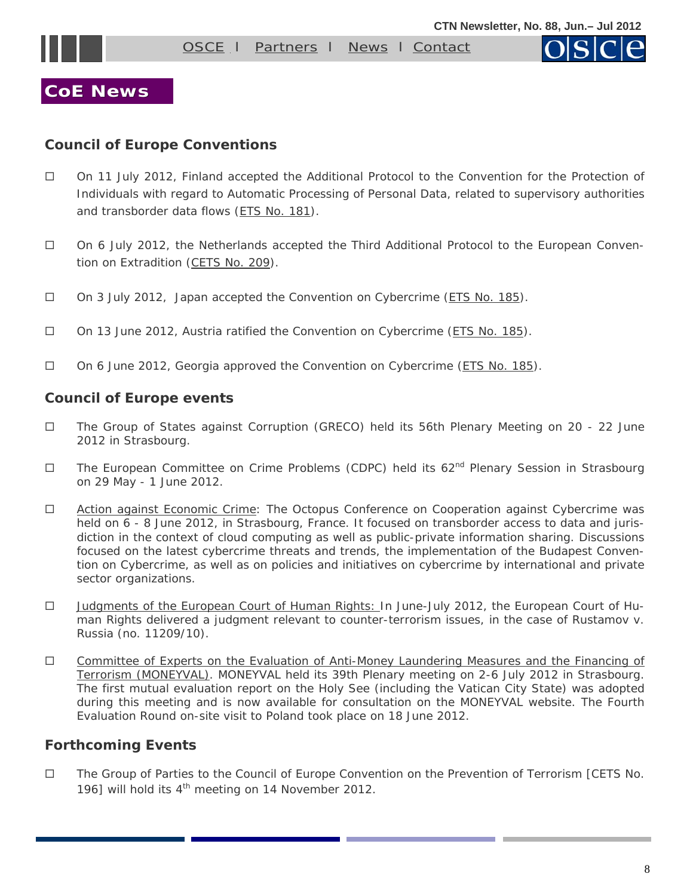

## <span id="page-7-0"></span>**CoE News CoE News**

#### **Council of Europe Conventions**

- On 11 July 2012, Finland accepted the *Additional Protocol to the Convention for the Protection of Individuals with regard to Automatic Processing of Personal Data, related to supervisory authorities and transborder data* flows ([ETS No. 181](http://www.conventions.coe.int/Treaty/Commun/QueVoulezVous.asp?NT=181&CM=1&CL=ENG)).
- On 6 July 2012, the Netherlands accepted the *Third Additional Protocol to the European Convention on Extradition ([CETS No. 209\)](http://www.conventions.coe.int/Treaty/Commun/QueVoulezVous.asp?NT=209&CM=1&CL=ENG).*
- On 3 July 2012, Japan accepted the *Convention on Cybercrime ([ETS No. 185](http://www.conventions.coe.int/Treaty/Commun/QueVoulezVous.asp?NT=185&CM=1&CL=ENG)).*
- On 13 June 2012, Austria ratified the *Convention on Cybercrime ([ETS No. 185\)](http://www.conventions.coe.int/Treaty/Commun/QueVoulezVous.asp?NT=185&CM=1&CL=ENG).*
- On 6 June 2012, Georgia approved the *Convention on Cybercrime ([ETS No. 185\)](http://www.conventions.coe.int/Treaty/Commun/QueVoulezVous.asp?NT=185&CM=1&CL=ENG).*

#### **Council of Europe events**

- The Group of States against Corruption (GRECO) held its 56th Plenary Meeting on 20 22 June 2012 in Strasbourg.
- $\Box$  The European Committee on Crime Problems (CDPC) held its 62<sup>nd</sup> Plenary Session in Strasbourg on 29 May - 1 June 2012.
- □ [Action against Economic Crime:](http://www.coe.int/t/dghl/cooperation/economiccrime/default_en.asp) The Octopus Conference on Cooperation against Cybercrime was held on 6 - 8 June 2012, in Strasbourg, France. It focused on transborder access to data and jurisdiction in the context of cloud computing as well as public-private information sharing. Discussions focused on the latest cybercrime threats and trends, the implementation of the Budapest Convention on Cybercrime, as well as on policies and initiatives on cybercrime by international and private sector organizations.
- □ Judgments of the European Court of Human Rights: In June-July 2012, the European Court of Human Rights delivered a judgment relevant to counter-terrorism issues, in the case of Rustamov v. Russia (no. 11209/10).
- [Committee of Experts on the Evaluation of Anti-Money Laundering Measures and the Financing of](http://www.coe.int/t/dghl/monitoring/moneyval/default_en.asp)  [Terrorism \(MONEYVAL\)](http://www.coe.int/t/dghl/monitoring/moneyval/default_en.asp). MONEYVAL held its 39th Plenary meeting on 2-6 July 2012 in Strasbourg. The first mutual evaluation report on the Holy See (including the Vatican City State) was adopted during this meeting and is now available for consultation on the MONEYVAL website. The Fourth Evaluation Round on-site visit to Poland took place on 18 June 2012.

#### **Forthcoming Events**

 The Group of Parties to the Council of Europe Convention on the Prevention of Terrorism [CETS No. 196] will hold its  $4<sup>th</sup>$  meeting on 14 November 2012.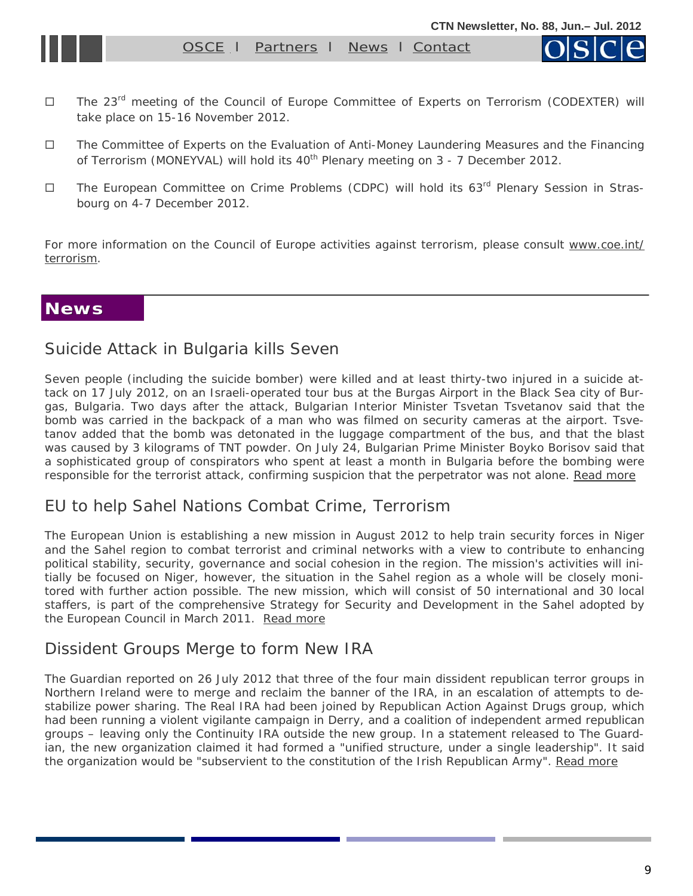[OSCE](#page-1-0) | [Partners](#page-5-0) | News | [Contact](mailto:nemanja.malisevic@osce.org;%20ben.hiller@osce.org)

- <span id="page-8-0"></span>□ The 23<sup>rd</sup> meeting of the Council of Europe Committee of Experts on Terrorism (CODEXTER) will take place on 15-16 November 2012.
- The Committee of Experts on the Evaluation of Anti-Money Laundering Measures and the Financing of Terrorism (MONEYVAL) will hold its  $40<sup>th</sup>$  Plenary meeting on 3 - 7 December 2012.
- □ The European Committee on Crime Problems (CDPC) will hold its 63<sup>rd</sup> Plenary Session in Strasbourg on 4-7 December 2012.

For more information on the Council of Europe activities against terrorism, please consult [www.coe.int/](http://www.coe.int/terrorism) [terrorism.](http://www.coe.int/terrorism)

#### **News**

#### Suicide Attack in Bulgaria kills Seven

Seven people (including the suicide bomber) were killed and at least thirty-two injured in a suicide attack on 17 July 2012, on an Israeli-operated tour bus at the Burgas Airport in the Black Sea city of Burgas, Bulgaria. Two days after the attack, Bulgarian Interior Minister Tsvetan Tsvetanov said that the bomb was carried in the backpack of a man who was filmed on security cameras at the airport. Tsvetanov added that the bomb was detonated in the luggage compartment of the bus, and that the blast was caused by 3 kilograms of TNT powder. On July 24, Bulgarian Prime Minister Boyko Borisov said that a sophisticated group of conspirators who spent at least a month in Bulgaria before the bombing were responsible for the terrorist attack, confirming suspicion that the perpetrator was not alone. [Read more](http://en.wikipedia.org/wiki/2012_Burgas_bus_bombing) 

#### EU to help Sahel Nations Combat Crime, Terrorism

The European Union is establishing a new mission in August 2012 to help train security forces in Niger and the Sahel region to combat terrorist and criminal networks with a view to contribute to enhancing political stability, security, governance and social cohesion in the region. The mission's activities will initially be focused on Niger, however, the situation in the Sahel region as a whole will be closely monitored with further action possible. The new mission, which will consist of 50 international and 30 local staffers, is part of the comprehensive Strategy for Security and Development in the Sahel adopted by the European Council in March 2011. [Read more](http://www.consilium.europa.eu/media/1704249/fact_sheet_sahel_coordinated9_july.pdf)

#### Dissident Groups Merge to form New IRA

The Guardian reported on 26 July 2012 that three of the four main dissident republican terror groups in Northern Ireland were to merge and reclaim the banner of the IRA, in an escalation of attempts to destabilize power sharing. The Real IRA had been joined by Republican Action Against Drugs group, which had been running a violent vigilante campaign in Derry, and a coalition of independent armed republican groups – leaving only the Continuity IRA outside the new group. In a statement released to The Guardian, the new organization claimed it had formed a "unified structure, under a single leadership". It said the organization would be "subservient to the constitution of the Irish Republican Army". [Read more](http://www.guardian.co.uk/uk/2012/jul/26/ira-northern-ireland-dissident-republican-groups)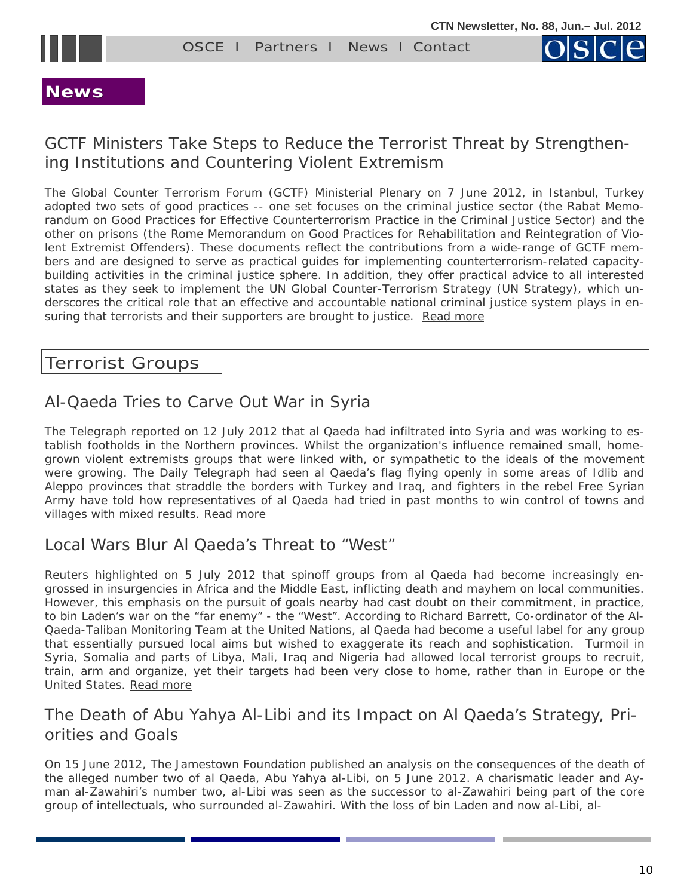<span id="page-9-0"></span>

[OSCE](#page-1-0) I [Partners](#page-5-0) I [News](#page-8-0) I [Contact](mailto:nemanja.malisevic@osce.org;%20ben.hiller@osce.org)



## **News**

# GCTF Ministers Take Steps to Reduce the Terrorist Threat by Strengthening Institutions and Countering Violent Extremism

The Global Counter Terrorism Forum (GCTF) Ministerial Plenary on 7 June 2012, in Istanbul, Turkey adopted two sets of good practices -- one set focuses on the criminal justice sector (the Rabat Memorandum on Good Practices for Effective Counterterrorism Practice in the Criminal Justice Sector) and the other on prisons (the Rome Memorandum on Good Practices for Rehabilitation and Reintegration of Violent Extremist Offenders). These documents reflect the contributions from a wide-range of GCTF members and are designed to serve as practical guides for implementing counterterrorism-related capacitybuilding activities in the criminal justice sphere. In addition, they offer practical advice to all interested states as they seek to implement the UN Global Counter-Terrorism Strategy (UN Strategy), which underscores the critical role that an effective and accountable national criminal justice system plays in ensuring that terrorists and their supporters are brought to justice. Read more

## Terrorist Groups

# Al-Qaeda Tries to Carve Out War in Syria

The Telegraph reported on 12 July 2012 that al Qaeda had infiltrated into Syria and was working to establish footholds in the Northern provinces. Whilst the organization's influence remained small, homegrown violent extremists groups that were linked with, or sympathetic to the ideals of the movement were growing. The Daily Telegraph had seen al Qaeda's flag flying openly in some areas of Idlib and Aleppo provinces that straddle the borders with Turkey and Iraq, and fighters in the rebel Free Syrian Army have told how representatives of al Qaeda had tried in past months to win control of towns and villages with mixed results. Read more

## Local Wars Blur Al Qaeda's Threat to "West"

Reuters highlighted on 5 July 2012 that spinoff groups from al Qaeda had become increasingly engrossed in insurgencies in Africa and the Middle East, inflicting death and mayhem on local communities. However, this emphasis on the pursuit of goals nearby had cast doubt on their commitment, in practice, to bin Laden's war on the "far enemy" - the "West". According to Richard Barrett, Co-ordinator of the Al-Qaeda-Taliban Monitoring Team at the United Nations, al Qaeda had become a useful label for any group that essentially pursued local aims but wished to exaggerate its reach and sophistication. Turmoil in Syria, Somalia and parts of Libya, Mali, Iraq and Nigeria had allowed local terrorist groups to recruit, train, arm and organize, yet their targets had been very close to home, rather than in Europe or the United States. [Read more](http://www.reuters.com/article/2012/07/05/us-security-qaeda-idUSBRE86408D20120705) 

## The Death of Abu Yahya Al-Libi and its Impact on Al Qaeda's Strategy, Priorities and Goals

On 15 June 2012, The Jamestown Foundation published an analysis on the consequences of the death of the alleged number two of al Qaeda, Abu Yahya al-Libi, on 5 June 2012. A charismatic leader and Ayman al-Zawahiri's number two, al-Libi was seen as the successor to al-Zawahiri being part of the core group of intellectuals, who surrounded al-Zawahiri. With the loss of bin Laden and now al-Libi, al-